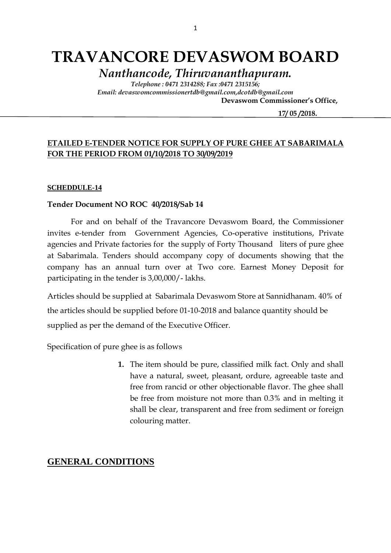# **TRAVANCORE DEVASWOM BOARD**

*Nanthancode, Thiruvananthapuram.*

*Telephone : 0471 2314288; Fax :0471 2315156; Email: devaswomcommissionertdb@gmail.com,dcotdb@gmail.com*

 **Devaswom Commissioner's Office,**

 **17/ 05 /2018.**

## **ETAILED E-TENDER NOTICE FOR SUPPLY OF PURE GHEE AT SABARIMALA FOR THE PERIOD FROM 01/10/2018 TO 30/09/2019**

### **SCHEDDULE-14**

### **Tender Document NO ROC 40/2018/Sab 14**

For and on behalf of the Travancore Devaswom Board, the Commissioner invites e-tender from Government Agencies, Co-operative institutions, Private agencies and Private factories for the supply of Forty Thousand liters of pure ghee at Sabarimala. Tenders should accompany copy of documents showing that the company has an annual turn over at Two core. Earnest Money Deposit for participating in the tender is 3,00,000/- lakhs.

Articles should be supplied at Sabarimala Devaswom Store at Sannidhanam. 40% of the articles should be supplied before 01-10-2018 and balance quantity should be supplied as per the demand of the Executive Officer.

Specification of pure ghee is as follows

**1.** The item should be pure, classified milk fact. Only and shall have a natural, sweet, pleasant, ordure, agreeable taste and free from rancid or other objectionable flavor. The ghee shall be free from moisture not more than 0.3% and in melting it shall be clear, transparent and free from sediment or foreign colouring matter.

## **GENERAL CONDITIONS**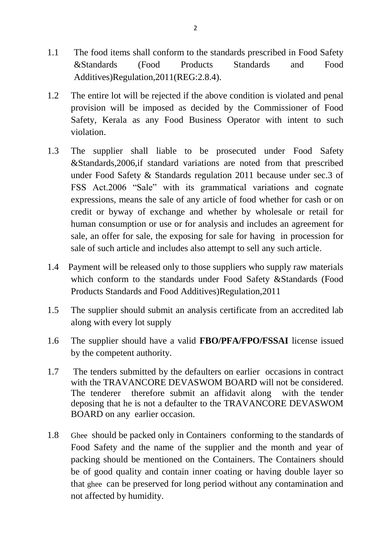- 1.1 The food items shall conform to the standards prescribed in Food Safety &Standards (Food Products Standards and Food Additives)Regulation,2011(REG:2.8.4).
- 1.2 The entire lot will be rejected if the above condition is violated and penal provision will be imposed as decided by the Commissioner of Food Safety, Kerala as any Food Business Operator with intent to such violation.
- 1.3 The supplier shall liable to be prosecuted under Food Safety &Standards,2006,if standard variations are noted from that prescribed under Food Safety & Standards regulation 2011 because under sec.3 of FSS Act.2006 "Sale" with its grammatical variations and cognate expressions, means the sale of any article of food whether for cash or on credit or byway of exchange and whether by wholesale or retail for human consumption or use or for analysis and includes an agreement for sale, an offer for sale, the exposing for sale for having in procession for sale of such article and includes also attempt to sell any such article.
- 1.4 Payment will be released only to those suppliers who supply raw materials which conform to the standards under Food Safety &Standards (Food Products Standards and Food Additives)Regulation,2011
- 1.5 The supplier should submit an analysis certificate from an accredited lab along with every lot supply
- 1.6 The supplier should have a valid **FBO/PFA/FPO/FSSAI** license issued by the competent authority.
- 1.7 The tenders submitted by the defaulters on earlier occasions in contract with the TRAVANCORE DEVASWOM BOARD will not be considered. The tenderer therefore submit an affidavit along with the tender deposing that he is not a defaulter to the TRAVANCORE DEVASWOM BOARD on any earlier occasion.
- 1.8 Ghee should be packed only in Containers conforming to the standards of Food Safety and the name of the supplier and the month and year of packing should be mentioned on the Containers. The Containers should be of good quality and contain inner coating or having double layer so that ghee can be preserved for long period without any contamination and not affected by humidity.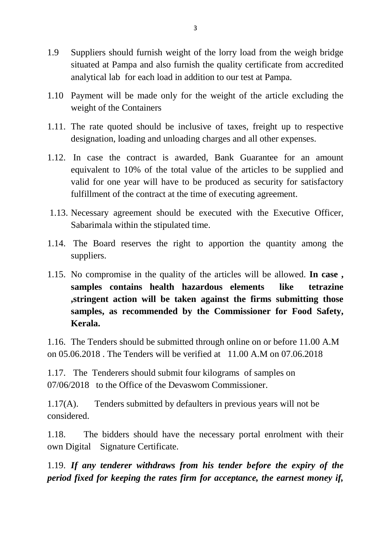- 1.9 Suppliers should furnish weight of the lorry load from the weigh bridge situated at Pampa and also furnish the quality certificate from accredited analytical lab for each load in addition to our test at Pampa.
- 1.10 Payment will be made only for the weight of the article excluding the weight of the Containers
- 1.11. The rate quoted should be inclusive of taxes, freight up to respective designation, loading and unloading charges and all other expenses.
- 1.12. In case the contract is awarded, Bank Guarantee for an amount equivalent to 10% of the total value of the articles to be supplied and valid for one year will have to be produced as security for satisfactory fulfillment of the contract at the time of executing agreement.
- 1.13. Necessary agreement should be executed with the Executive Officer, Sabarimala within the stipulated time.
- 1.14. The Board reserves the right to apportion the quantity among the suppliers.
- 1.15. No compromise in the quality of the articles will be allowed. **In case , samples contains health hazardous elements like tetrazine ,stringent action will be taken against the firms submitting those samples, as recommended by the Commissioner for Food Safety, Kerala.**

1.16. The Tenders should be submitted through online on or before 11.00 A.M on 05.06.2018 . The Tenders will be verified at 11.00 A.M on 07.06.2018

1.17. The Tenderers should submit four kilograms of samples on 07/06/2018 to the Office of the Devaswom Commissioner.

1.17(A). Tenders submitted by defaulters in previous years will not be considered.

1.18. The bidders should have the necessary portal enrolment with their own Digital Signature Certificate.

1.19. *If any tenderer withdraws from his tender before the expiry of the period fixed for keeping the rates firm for acceptance, the earnest money if,*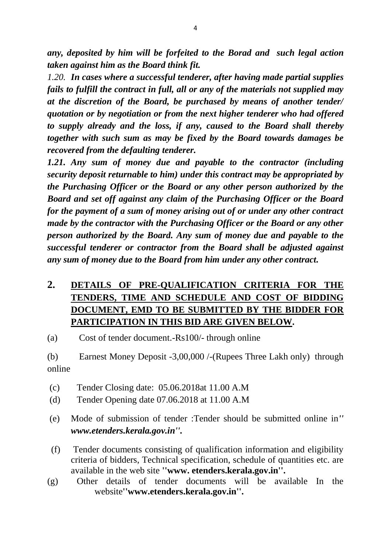*any, deposited by him will be forfeited to the Borad and such legal action taken against him as the Board think fit.*

*1.20. In cases where a successful tenderer, after having made partial supplies fails to fulfill the contract in full, all or any of the materials not supplied may at the discretion of the Board, be purchased by means of another tender/ quotation or by negotiation or from the next higher tenderer who had offered to supply already and the loss, if any, caused to the Board shall thereby together with such sum as may be fixed by the Board towards damages be recovered from the defaulting tenderer.*

*1.21. Any sum of money due and payable to the contractor (including security deposit returnable to him) under this contract may be appropriated by the Purchasing Officer or the Board or any other person authorized by the Board and set off against any claim of the Purchasing Officer or the Board for the payment of a sum of money arising out of or under any other contract made by the contractor with the Purchasing Officer or the Board or any other person authorized by the Board. Any sum of money due and payable to the successful tenderer or contractor from the Board shall be adjusted against any sum of money due to the Board from him under any other contract.*

# **2. DETAILS OF PRE-QUALIFICATION CRITERIA FOR THE TENDERS, TIME AND SCHEDULE AND COST OF BIDDING DOCUMENT, EMD TO BE SUBMITTED BY THE BIDDER FOR PARTICIPATION IN THIS BID ARE GIVEN BELOW.**

(a) Cost of tender document.-Rs100/- through online

(b) Earnest Money Deposit -3,00,000 /-(Rupees Three Lakh only) through online

- (c) Tender Closing date: 05.06.2018at 11.00 A.M
- (d) Tender Opening date 07.06.2018 at 11.00 A.M
- (e) Mode of submission of tender :Tender should be submitted online in*'' www.etenders.kerala.gov.in''.*
- (f) Tender documents consisting of qualification information and eligibility criteria of bidders, Technical specification, schedule of quantities etc. are available in the web site **''www. etenders.kerala.gov.in''.**
- (g) Other details of tender documents will be available In the website**''www.etenders.kerala.gov.in''.**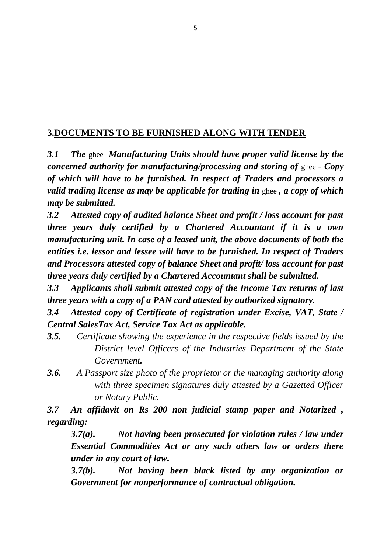## **3.DOCUMENTS TO BE FURNISHED ALONG WITH TENDER**

*3.1 The* ghee *Manufacturing Units should have proper valid license by the concerned authority for manufacturing/processing and storing of ghee - Copy of which will have to be furnished. In respect of Traders and processors a valid trading license as may be applicable for trading in* ghee *, a copy of which may be submitted.*

*3.2 Attested copy of audited balance Sheet and profit / loss account for past three years duly certified by a Chartered Accountant if it is a own manufacturing unit. In case of a leased unit, the above documents of both the entities i.e. lessor and lessee will have to be furnished. In respect of Traders and Processors attested copy of balance Sheet and profit/ loss account for past three years duly certified by a Chartered Accountant shall be submitted.*

*3.3 Applicants shall submit attested copy of the Income Tax returns of last three years with a copy of a PAN card attested by authorized signatory.*

*3.4 Attested copy of Certificate of registration under Excise, VAT, State / Central SalesTax Act, Service Tax Act as applicable.*

- *3.5. Certificate showing the experience in the respective fields issued by the District level Officers of the Industries Department of the State Government.*
- *3.6. A Passport size photo of the proprietor or the managing authority along with three specimen signatures duly attested by a Gazetted Officer or Notary Public.*

*3.7 An affidavit on Rs 200 non judicial stamp paper and Notarized , regarding:*

*3.7(a). Not having been prosecuted for violation rules / law under Essential Commodities Act or any such others law or orders there under in any court of law.*

*3.7(b). Not having been black listed by any organization or Government for nonperformance of contractual obligation.*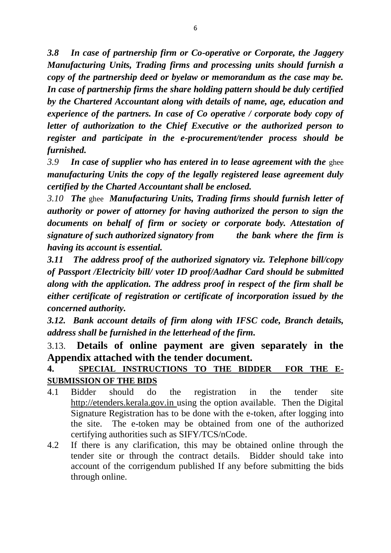*3.8 In case of partnership firm or Co-operative or Corporate, the Jaggery Manufacturing Units, Trading firms and processing units should furnish a copy of the partnership deed or byelaw or memorandum as the case may be. In case of partnership firms the share holding pattern should be duly certified by the Chartered Accountant along with details of name, age, education and experience of the partners. In case of Co operative / corporate body copy of letter of authorization to the Chief Executive or the authorized person to register and participate in the e-procurement/tender process should be furnished.*

*3.9 In case of supplier who has entered in to lease agreement with the* ghee *manufacturing Units the copy of the legally registered lease agreement duly certified by the Charted Accountant shall be enclosed.*

*3.10 The* ghee *Manufacturing Units, Trading firms should furnish letter of authority or power of attorney for having authorized the person to sign the documents on behalf of firm or society or corporate body. Attestation of signature of such authorized signatory from the bank where the firm is having its account is essential.*

*3.11 The address proof of the authorized signatory viz. Telephone bill/copy of Passport /Electricity bill/ voter ID proof/Aadhar Card should be submitted along with the application. The address proof in respect of the firm shall be either certificate of registration or certificate of incorporation issued by the concerned authority.*

*3.12. Bank account details of firm along with IFSC code, Branch details, address shall be furnished in the letterhead of the firm.*

3.13. **Details of online payment are given separately in the Appendix attached with the tender document.** 

# **4. SPECIAL INSTRUCTIONS TO THE BIDDER FOR THE E-SUBMISSION OF THE BIDS**

- 4.1 Bidder should do the registration in the tender site http://etenders.kerala.gov.in using the option available. Then the Digital Signature Registration has to be done with the e-token, after logging into the site. The e-token may be obtained from one of the authorized certifying authorities such as SIFY/TCS/nCode.
- 4.2 If there is any clarification, this may be obtained online through the tender site or through the contract details. Bidder should take into account of the corrigendum published If any before submitting the bids through online.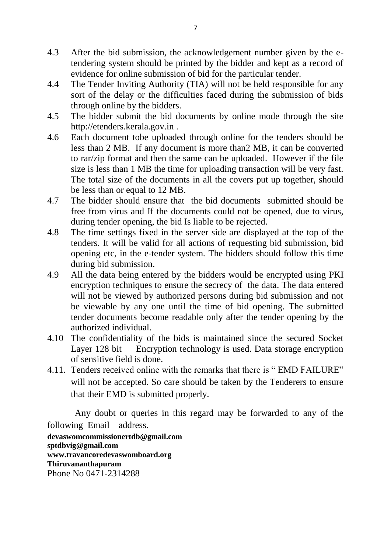- 4.3 After the bid submission, the acknowledgement number given by the etendering system should be printed by the bidder and kept as a record of evidence for online submission of bid for the particular tender.
- 4.4 The Tender Inviting Authority (TIA) will not be held responsible for any sort of the delay or the difficulties faced during the submission of bids through online by the bidders.
- 4.5 The bidder submit the bid documents by online mode through the site http://etenders.kerala.gov.in .
- 4.6 Each document tobe uploaded through online for the tenders should be less than 2 MB. If any document is more than2 MB, it can be converted to rar/zip format and then the same can be uploaded. However if the file size is less than 1 MB the time for uploading transaction will be very fast. The total size of the documents in all the covers put up together, should be less than or equal to 12 MB.
- 4.7 The bidder should ensure that the bid documents submitted should be free from virus and If the documents could not be opened, due to virus, during tender opening, the bid Is liable to be rejected.
- 4.8 The time settings fixed in the server side are displayed at the top of the tenders. It will be valid for all actions of requesting bid submission, bid opening etc, in the e-tender system. The bidders should follow this time during bid submission.
- 4.9 All the data being entered by the bidders would be encrypted using PKI encryption techniques to ensure the secrecy of the data. The data entered will not be viewed by authorized persons during bid submission and not be viewable by any one until the time of bid opening. The submitted tender documents become readable only after the tender opening by the authorized individual.
- 4.10 The confidentiality of the bids is maintained since the secured Socket Layer 128 bit Encryption technology is used. Data storage encryption of sensitive field is done.
- 4.11. Tenders received online with the remarks that there is "EMD FAILURE" will not be accepted. So care should be taken by the Tenderers to ensure that their EMD is submitted properly.

 Any doubt or queries in this regard may be forwarded to any of the following Email address.

**devaswomcommissionertdb@gmail.com sptdbvig@gmail.com www.travancoredevaswomboard.org Thiruvananthapuram** Phone No 0471-2314288